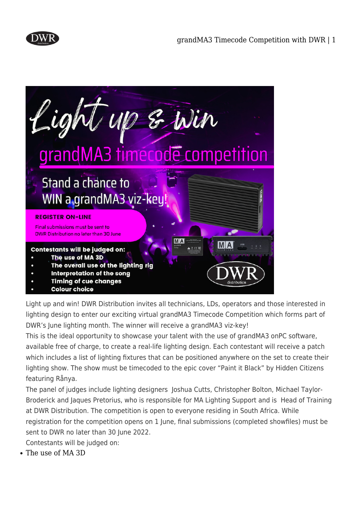



Light up and win! DWR Distribution invites all technicians, LDs, operators and those interested in lighting design to enter our exciting virtual grandMA3 Timecode Competition which forms part of DWR's June lighting month. The winner will receive a grandMA3 viz-key!

This is the ideal opportunity to showcase your talent with the use of grandMA3 onPC software, available free of charge, to create a real-life lighting design. Each contestant will receive a patch which includes a list of lighting fixtures that can be positioned anywhere on the set to create their lighting show. The show must be timecoded to the epic cover "Paint it Black" by Hidden Citizens featuring Rånya.

The panel of judges include lighting designers Joshua Cutts, Christopher Bolton, Michael Taylor-Broderick and Jaques Pretorius, who is responsible for MA Lighting Support and is Head of Training at DWR Distribution. The competition is open to everyone residing in South Africa. While registration for the competition opens on 1 June, final submissions (completed showfiles) must be sent to DWR no later than 30 June 2022.

Contestants will be judged on:

The use of MA 3D